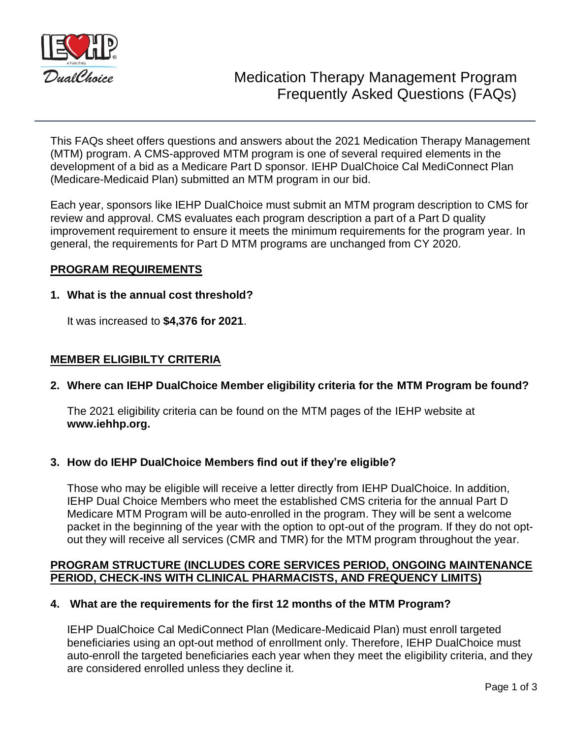

This FAQs sheet offers questions and answers about the 2021 Medication Therapy Management (MTM) program. A CMS-approved MTM program is one of several required elements in the development of a bid as a Medicare Part D sponsor. IEHP DualChoice Cal MediConnect Plan (Medicare-Medicaid Plan) submitted an MTM program in our bid.

Each year, sponsors like IEHP DualChoice must submit an MTM program description to CMS for review and approval. CMS evaluates each program description a part of a Part D quality improvement requirement to ensure it meets the minimum requirements for the program year. In general, the requirements for Part D MTM programs are unchanged from CY 2020.

# **PROGRAM REQUIREMENTS**

# **1. What is the annual cost threshold?**

It was increased to **\$4,376 for 2021**.

# **MEMBER ELIGIBILTY CRITERIA**

# **2. Where can IEHP DualChoice Member eligibility criteria for the MTM Program be found?**

The 2021 eligibility criteria can be found on the MTM pages of the IEHP website at **www.iehhp.org.**

# **3. How do IEHP DualChoice Members find out if they're eligible?**

Those who may be eligible will receive a letter directly from IEHP DualChoice. In addition, IEHP Dual Choice Members who meet the established CMS criteria for the annual Part D Medicare MTM Program will be auto-enrolled in the program. They will be sent a welcome packet in the beginning of the year with the option to opt-out of the program. If they do not optout they will receive all services (CMR and TMR) for the MTM program throughout the year.

# **PROGRAM STRUCTURE (INCLUDES CORE SERVICES PERIOD, ONGOING MAINTENANCE PERIOD, CHECK-INS WITH CLINICAL PHARMACISTS, AND FREQUENCY LIMITS)**

# **4. What are the requirements for the first 12 months of the MTM Program?**

IEHP DualChoice Cal MediConnect Plan (Medicare-Medicaid Plan) must enroll targeted beneficiaries using an opt-out method of enrollment only. Therefore, IEHP DualChoice must auto-enroll the targeted beneficiaries each year when they meet the eligibility criteria, and they are considered enrolled unless they decline it.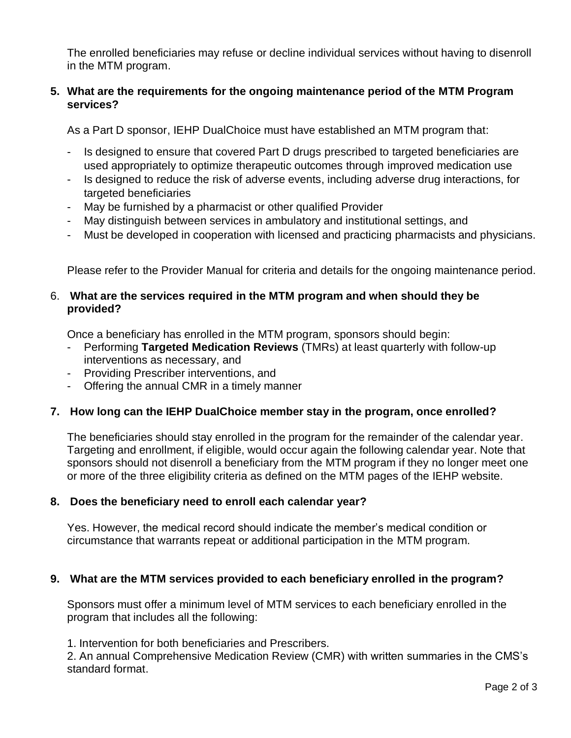The enrolled beneficiaries may refuse or decline individual services without having to disenroll in the MTM program.

# **5. What are the requirements for the ongoing maintenance period of the MTM Program services?**

As a Part D sponsor, IEHP DualChoice must have established an MTM program that:

- Is designed to ensure that covered Part D drugs prescribed to targeted beneficiaries are used appropriately to optimize therapeutic outcomes through improved medication use
- Is designed to reduce the risk of adverse events, including adverse drug interactions, for targeted beneficiaries
- May be furnished by a pharmacist or other qualified Provider
- May distinguish between services in ambulatory and institutional settings, and
- Must be developed in cooperation with licensed and practicing pharmacists and physicians.

Please refer to the Provider Manual for criteria and details for the ongoing maintenance period.

# 6. **What are the services required in the MTM program and when should they be provided?**

Once a beneficiary has enrolled in the MTM program, sponsors should begin:

- Performing **Targeted Medication Reviews** (TMRs) at least quarterly with follow-up interventions as necessary, and
- Providing Prescriber interventions, and
- Offering the annual CMR in a timely manner

# **7. How long can the IEHP DualChoice member stay in the program, once enrolled?**

The beneficiaries should stay enrolled in the program for the remainder of the calendar year. Targeting and enrollment, if eligible, would occur again the following calendar year. Note that sponsors should not disenroll a beneficiary from the MTM program if they no longer meet one or more of the three eligibility criteria as defined on the MTM pages of the IEHP website.

# **8. Does the beneficiary need to enroll each calendar year?**

Yes. However, the medical record should indicate the member's medical condition or circumstance that warrants repeat or additional participation in the MTM program.

# **9. What are the MTM services provided to each beneficiary enrolled in the program?**

Sponsors must offer a minimum level of MTM services to each beneficiary enrolled in the program that includes all the following:

1. Intervention for both beneficiaries and Prescribers.

2. An annual Comprehensive Medication Review (CMR) with written summaries in the CMS's standard format.